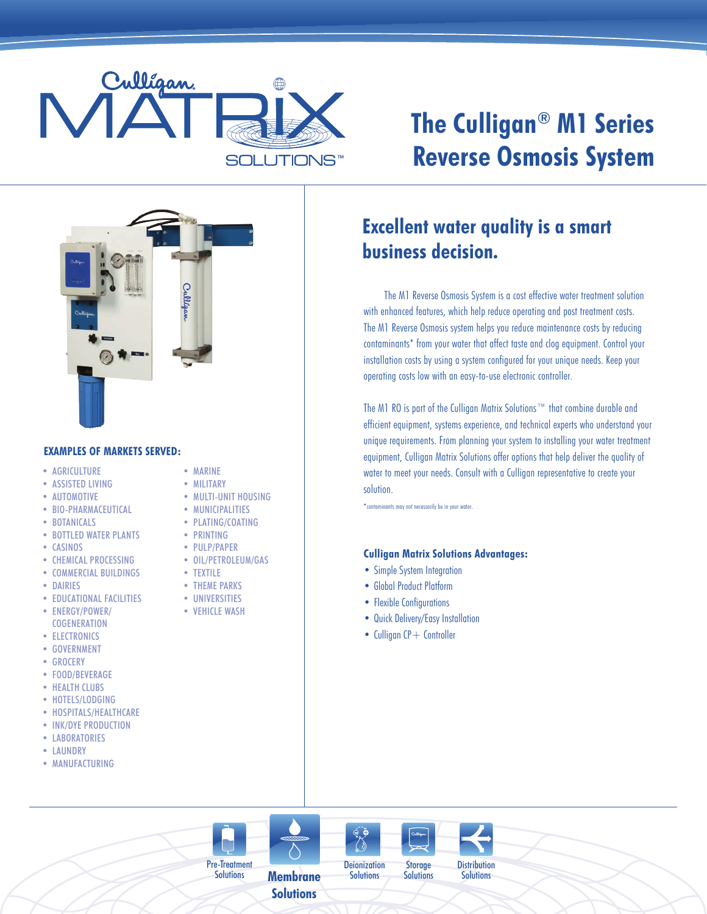

# **The Culligan® M1 Series Reverse Osmosis System**



#### **EXAMPLES OF MARKETS SERVED:**

- • AGRICULTURE
- ASSISTED LIVING
- AUTOMOTIVE
- • BIO-PHARMACEUTICAL
- BOTANICALS
- BOTTLED WATER PLANTS

COMMERCIAL BUILDINGS

• EDUCATIONAL FACILITIES

• cAsinos

• DAIRIES

- CHEMICAL PROCESSING
	- • TEXTILE
	- - UNIVERSITIES
		- VEHICLE WASH
- ENERGY/POWER/ **COGENERATION**
- ELECTRONICS
- GOVERNMENT
- GROCERY
- FOOD/BEVERAGE
- HEALTH CLUBS
- HOTELS/LODGING
- HOSPITALS/HEALTHCARE
- INK/DYE PRODUCTION
- LABORATORIES
- LAUNDRY
- MANUFACTURING

• MARINE • MILITARY

- MULTI-UNIT HOUSING
- MUNICIPALITIES
- PLATING/COATING
- PRINTING
- PULP/PAPER
- OIL/PETROLEUM/GAS
- 
- THEME PARKS
- 
- 

## **Excellent water quality is a smart business decision.**

The M1 Reverse Osmosis System is a cost effective water treatment solution with enhanced features, which help reduce operating and post treatment costs. The M1 Reverse Osmosis system helps you reduce maintenance costs by reducing contaminants\* from your water that affect taste and clog equipment. Control your installation costs by using a system configured for your unique needs. Keep your operating costs low with an easy-to-use electronic controller.

The M1 RO is part of the Culligan Matrix Solutions™ that combine durable and efficient equipment, systems experience, and technical experts who understand your unique requirements. From planning your system to installing your water treatment equipment, Culligan Matrix Solutions offer options that help deliver the quality of water to meet your needs. Consult with a Culligan representative to create your solution.

\*contaminants may not necessarily be in your water.

#### **Culligan Matrix Solutions Advantages:**

- Simple System Integration
- Global Product Platform
- Flexible Configurations
- • Quick Delivery/Easy Installation
- Culligan CP+ Controller



**Solutions** 



**Solutions** 

Storage **Solutions** 



**Solutions** 

**Membrane Solutions**